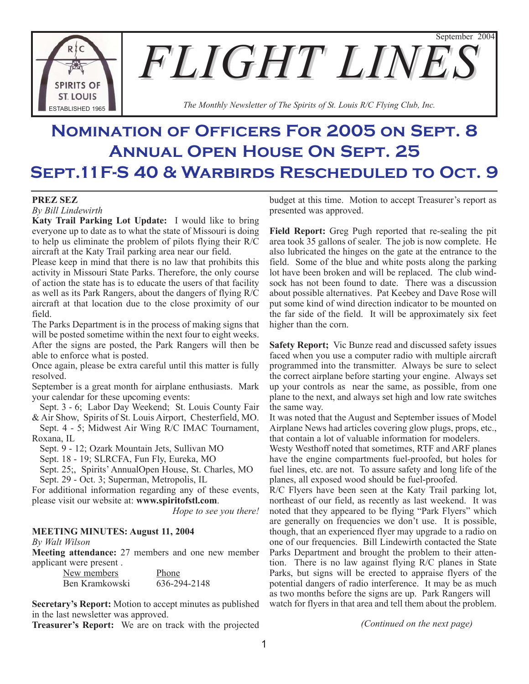September 2004 **FLIGHT LINE SPIRITS OF ST. LOUIS The Monthly Newsletter of The Spirits of St. Louis R/C Flying Club, Inc.** Figures 2.1 **The Monthly Newsletter of The Spirits of St. Louis R/C Flying Club, Inc.** 

# **Nomination of Officers For 2005 on Sept. 8 Annual Open House On Sept. 25 Sept.11F-S 40 & Warbirds Rescheduled to Oct. 9**

## **PREZ SEZ**

*By Bill Lindewirth*

**Katy Trail Parking Lot Update:** I would like to bring everyone up to date as to what the state of Missouri is doing to help us eliminate the problem of pilots flying their R/C aircraft at the Katy Trail parking area near our field.

Please keep in mind that there is no law that prohibits this activity in Missouri State Parks. Therefore, the only course of action the state has is to educate the users of that facility as well as its Park Rangers, about the dangers of flying R/C aircraft at that location due to the close proximity of our field.

The Parks Department is in the process of making signs that will be posted sometime within the next four to eight weeks. After the signs are posted, the Park Rangers will then be able to enforce what is posted.

Once again, please be extra careful until this matter is fully resolved.

September is a great month for airplane enthusiasts. Mark your calendar for these upcoming events:

Sept. 3 - 6; Labor Day Weekend; St. Louis County Fair & Air Show, Spirits of St. Louis Airport, Chesterfield, MO.

Sept. 4 - 5; Midwest Air Wing R/C IMAC Tournament, Roxana, IL

Sept. 9 - 12; Ozark Mountain Jets, Sullivan MO

Sept. 18 - 19; SLRCFA, Fun Fly, Eureka, MO

Sept. 25;, Spirits' AnnualOpen House, St. Charles, MO

Sept. 29 - Oct. 3; Superman, Metropolis, IL

For additional information regarding any of these events, please visit our website at: **www.spiritofstl.com**.

*Hope to see you there!*

# **MEETING MINUTES: August 11, 2004**

*By Walt Wilson*

**Meeting attendance:** 27 members and one new member applicant were present .

> New members Phone Ben Kramkowski 636-294-2148

**Secretary's Report:** Motion to accept minutes as published in the last newsletter was approved.

**Treasurer's Report:** We are on track with the projected

budget at this time. Motion to accept Treasurer's report as presented was approved.

**Field Report:** Greg Pugh reported that re-sealing the pit area took 35 gallons of sealer. The job is now complete. He also lubricated the hinges on the gate at the entrance to the field. Some of the blue and white posts along the parking lot have been broken and will be replaced. The club windsock has not been found to date. There was a discussion about possible alternatives. Pat Keebey and Dave Rose will put some kind of wind direction indicator to be mounted on the far side of the field. It will be approximately six feet higher than the corn.

**Safety Report;** Vic Bunze read and discussed safety issues faced when you use a computer radio with multiple aircraft programmed into the transmitter. Always be sure to select the correct airplane before starting your engine. Always set up your controls as near the same, as possible, from one plane to the next, and always set high and low rate switches the same way.

It was noted that the August and September issues of Model Airplane News had articles covering glow plugs, props, etc., that contain a lot of valuable information for modelers.

Westy Westhoff noted that sometimes, RTF and ARF planes have the engine compartments fuel-proofed, but holes for fuel lines, etc. are not. To assure safety and long life of the planes, all exposed wood should be fuel-proofed.

R/C Flyers have been seen at the Katy Trail parking lot, northeast of our field, as recently as last weekend. It was noted that they appeared to be flying "Park Flyers" which are generally on frequencies we don't use. It is possible, though, that an experienced flyer may upgrade to a radio on one of our frequencies. Bill Lindewirth contacted the State Parks Department and brought the problem to their attention. There is no law against flying R/C planes in State Parks, but signs will be erected to appraise flyers of the potential dangers of radio interference. It may be as much as two months before the signs are up. Park Rangers will watch for flyers in that area and tell them about the problem.

*(Continued on the next page)*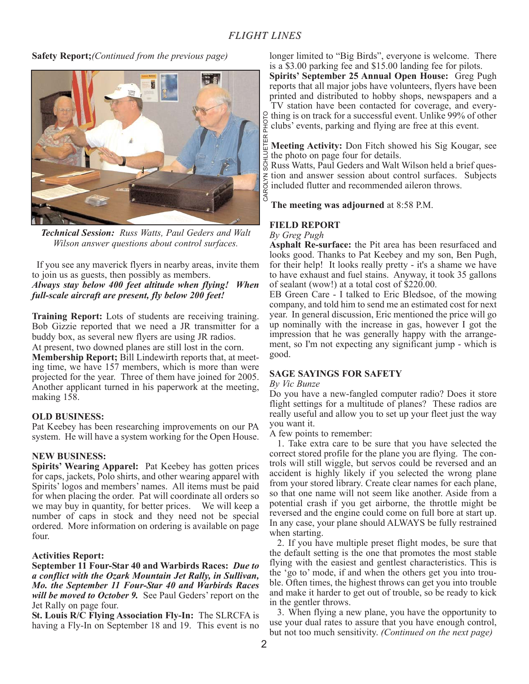**Safety Report;***(Continued from the previous page)*



*Technical Session: Russ Watts, Paul Geders and Walt Wilson answer questions about control surfaces.*

If you see any maverick flyers in nearby areas, invite them to join us as guests, then possibly as members. *Always stay below 400 feet altitude when flying! When full-scale aircraft are present, fly below 200 feet!*

**Training Report:** Lots of students are receiving training. Bob Gizzie reported that we need a JR transmitter for a buddy box, as several new flyers are using JR radios. At present, two downed planes are still lost in the corn. **Membership Report;** Bill Lindewirth reports that, at meeting time, we have 157 members, which is more than were projected for the year. Three of them have joined for 2005. Another applicant turned in his paperwork at the meeting, making 158.

#### **OLD BUSINESS:**

Pat Keebey has been researching improvements on our PA system. He will have a system working for the Open House.

#### **NEW BUSINESS:**

**Spirits' Wearing Apparel:** Pat Keebey has gotten prices for caps, jackets, Polo shirts, and other wearing apparel with Spirits' logos and members' names. All items must be paid for when placing the order. Pat will coordinate all orders so we may buy in quantity, for better prices. We will keep a number of caps in stock and they need not be special ordered. More information on ordering is available on page four.

## **Activities Report:**

**September 11 Four-Star 40 and Warbirds Races:** *Due to a conflict with the Ozark Mountain Jet Rally, in Sullivan, Mo. the September 11 Four-Star 40 and Warbirds Races will be moved to October 9.* See Paul Geders' report on the Jet Rally on page four.

**St. Louis R/C Flying Association Fly-In:** The SLRCFA is having a Fly-In on September 18 and 19. This event is no longer limited to "Big Birds", everyone is welcome. There is a \$3.00 parking fee and \$15.00 landing fee for pilots.

**Spirits' September 25 Annual Open House:** Greg Pugh reports that all major jobs have volunteers, flyers have been printed and distributed to hobby shops, newspapers and a TV station have been contacted for coverage, and every- $\beta$  thing is on track for a successful event. Unlike 99% of other  $\frac{1}{2}$  clubs' events, parking and flying are free at this event.

**Meeting Activity:** Don Fitch showed his Sig Kougar, see the photo on page four for details.

CAROLYN SCHLUETER PHOTORuss Watts, Paul Geders and Walt Wilson held a brief ques- $\zeta$  tion and answer session about control surfaces. Subjects included flutter and recommended aileron throws. CAROL

**The meeting was adjourned** at 8:58 P.M.

## **FIELD REPORT**

*By Greg Pugh*

**Asphalt Re-surface:** the Pit area has been resurfaced and looks good. Thanks to Pat Keebey and my son, Ben Pugh, for their help! It looks really pretty - it's a shame we have to have exhaust and fuel stains. Anyway, it took 35 gallons of sealant (wow!) at a total cost of \$220.00.

EB Green Care - I talked to Eric Bledsoe, of the mowing company, and told him to send me an estimated cost for next year. In general discussion, Eric mentioned the price will go up nominally with the increase in gas, however I got the impression that he was generally happy with the arrangement, so I'm not expecting any significant jump - which is good.

## **SAGE SAYINGS FOR SAFETY**

*By Vic Bunze*

Do you have a new-fangled computer radio? Does it store flight settings for a multitude of planes? These radios are really useful and allow you to set up your fleet just the way you want it.

A few points to remember:

1. Take extra care to be sure that you have selected the correct stored profile for the plane you are flying. The controls will still wiggle, but servos could be reversed and an accident is highly likely if you selected the wrong plane from your stored library. Create clear names for each plane, so that one name will not seem like another. Aside from a potential crash if you get airborne, the throttle might be reversed and the engine could come on full bore at start up. In any case, your plane should ALWAYS be fully restrained when starting.

2. If you have multiple preset flight modes, be sure that the default setting is the one that promotes the most stable flying with the easiest and gentlest characteristics. This is the 'go to' mode, if and when the others get you into trouble. Often times, the highest throws can get you into trouble and make it harder to get out of trouble, so be ready to kick in the gentler throws.

3. When flying a new plane, you have the opportunity to use your dual rates to assure that you have enough control, but not too much sensitivity. *(Continued on the next page)*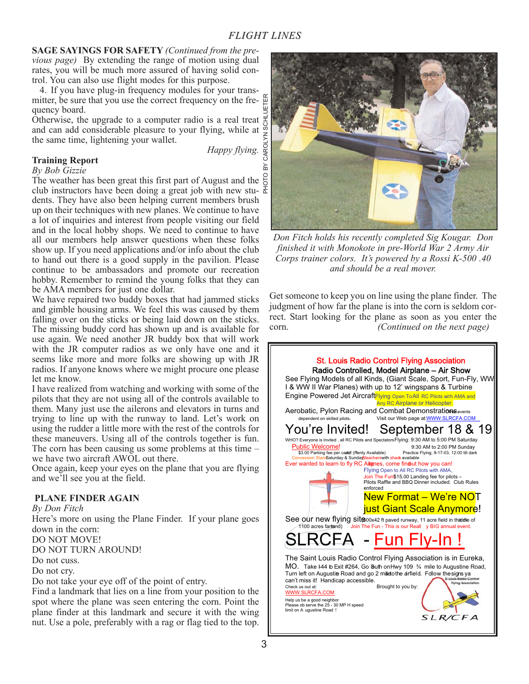**SAGE SAYINGS FOR SAFETY** *(Continued from the pre-*

*vious page)* By extending the range of motion using dual rates, you will be much more assured of having solid control. You can also use flight modes for this purpose.

4. If you have plug-in frequency modules for your transmitter, be sure that you use the correct frequency on the frequency board.

Otherwise, the upgrade to a computer radio is a real treat and can add considerable pleasure to your flying, while at the same time, lightening your wallet.

*Happy flying.*

# **Training Report**

*By Bob Gizzie*

The weather has been great this first part of August and the  $\frac{8}{6}$ club instructors have been doing a great job with new stu-  $\frac{1}{b}$ dents. They have also been helping current members brush up on their techniques with new planes. We continue to have a lot of inquiries and interest from people visiting our field and in the local hobby shops. We need to continue to have all our members help answer questions when these folks show up. If you need applications and/or info about the club to hand out there is a good supply in the pavilion. Please continue to be ambassadors and promote our recreation hobby. Remember to remind the young folks that they can be AMA members for just one dollar.

We have repaired two buddy boxes that had jammed sticks and gimble housing arms. We feel this was caused by them falling over on the sticks or being laid down on the sticks. The missing buddy cord has shown up and is available for use again. We need another JR buddy box that will work with the JR computer radios as we only have one and it seems like more and more folks are showing up with JR radios. If anyone knows where we might procure one please let me know.

I have realized from watching and working with some of the pilots that they are not using all of the controls available to them. Many just use the ailerons and elevators in turns and trying to line up with the runway to land. Let's work on using the rudder a little more with the rest of the controls for these maneuvers. Using all of the controls together is fun. The corn has been causing us some problems at this time – we have two aircraft AWOL out there.

Once again, keep your eyes on the plane that you are flying and we'll see you at the field.

## **PLANE FINDER AGAIN**

*By Don Fitch*

Here's more on using the Plane Finder. If your plane goes down in the corn:

DO NOT MOVE!

DO NOT TURN AROUND!

Do not cuss.

Do not cry.

Do not take your eye off of the point of entry.

Find a landmark that lies on a line from your position to the spot where the plane was seen entering the corn. Point the plane finder at this landmark and secure it with the wing nut. Use a pole, preferably with a rag or flag tied to the top.



*Don Fitch holds his recently completed Sig Kougar. Don finished it with Monokote in pre-World War 2 Army Air Corps trainer colors. It's powered by a Rossi K-500 .40 and should be a real mover.*

Get someone to keep you on line using the plane finder. The judgment of how far the plane is into the corn is seldom correct. Start looking for the plane as soon as you enter the corn. *(Continued on the next page)*

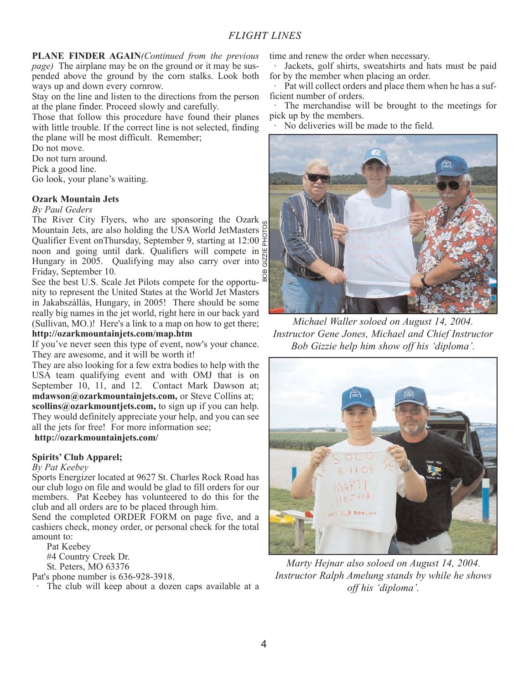**PLANE FINDER AGAIN***(Continued from the previous page)* The airplane may be on the ground or it may be suspended above the ground by the corn stalks. Look both ways up and down every cornrow.

Stay on the line and listen to the directions from the person at the plane finder. Proceed slowly and carefully.

Those that follow this procedure have found their planes with little trouble. If the correct line is not selected, finding the plane will be most difficult. Remember;

Do not move.

Do not turn around.

Pick a good line.

Go look, your plane's waiting.

#### **Ozark Mountain Jets**

#### *By Paul Geders*

The River City Flyers, who are sponsoring the Ozark Mountain Jets, are also holding the USA World JetMasters Qualifier Event onThursday, September 9, starting at 12:00 noon and going until dark. Qualifiers will compete in  $\frac{10}{2}$ Hungary in 2005. Qualifying may also carry over into  $\frac{\overline{N}}{n}$ Friday, September 10. BOB GIZZIE PHOTOS

See the best U.S. Scale Jet Pilots compete for the opportunity to represent the United States at the World Jet Masters in Jakabszállás, Hungary, in 2005! There should be some really big names in the jet world, right here in our back yard (Sullivan, MO.)! Here's a link to a map on how to get there;

## **http://ozarkmountainjets.com/map.htm**

If you've never seen this type of event, now's your chance. They are awesome, and it will be worth it!

They are also looking for a few extra bodies to help with the USA team qualifying event and with OMJ that is on September 10, 11, and 12. Contact Mark Dawson at; **mdawson@ozarkmountainjets.com,** or Steve Collins at; **scollins@ozarkmountjets.com,** to sign up if you can help. They would definitely appreciate your help, and you can see all the jets for free! For more information see;

# **http://ozarkmountainjets.com/**

## **Spirits' Club Apparel;**

#### *By Pat Keebey*

Sports Energizer located at 9627 St. Charles Rock Road has our club logo on file and would be glad to fill orders for our members. Pat Keebey has volunteered to do this for the club and all orders are to be placed through him.

Send the completed ORDER FORM on page five, and a cashiers check, money order, or personal check for the total amount to:

Pat Keebey

#4 Country Creek Dr.

St. Peters, MO 63376

Pat's phone number is 636-928-3918.

· The club will keep about a dozen caps available at a

time and renew the order when necessary.

Jackets, golf shirts, sweatshirts and hats must be paid for by the member when placing an order.

Pat will collect orders and place them when he has a sufficient number of orders.

The merchandise will be brought to the meetings for pick up by the members.

No deliveries will be made to the field.



*Michael Waller soloed on August 14, 2004. Instructor Gene Jones, Michael and Chief Instructor Bob Gizzie help him show off his 'diploma'.*



*Marty Hejnar also soloed on August 14, 2004. Instructor Ralph Amelung stands by while he shows off his 'diploma'.*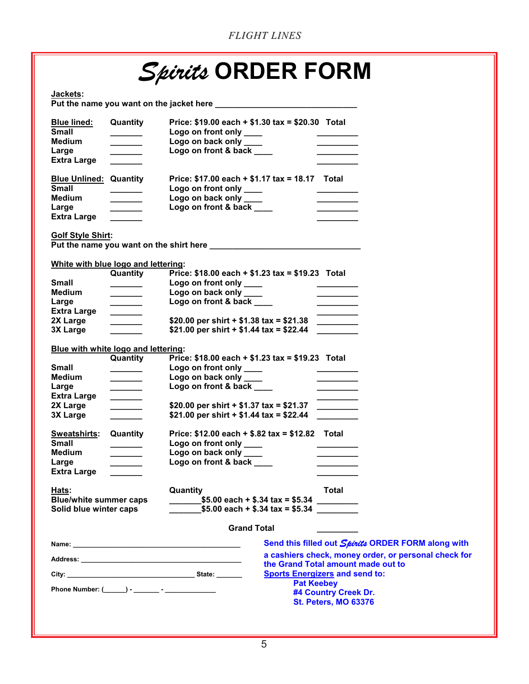|                                                                                               |                                                                   | <b>FLIGHT LINES</b>                                                                                                                                                                                                                  |                                                                                         |
|-----------------------------------------------------------------------------------------------|-------------------------------------------------------------------|--------------------------------------------------------------------------------------------------------------------------------------------------------------------------------------------------------------------------------------|-----------------------------------------------------------------------------------------|
|                                                                                               |                                                                   | <i>Spirits</i> ORDER FORM                                                                                                                                                                                                            |                                                                                         |
| Jackets:                                                                                      |                                                                   | Put the name you want on the jacket here <b>with the set of the set of the set of the set of the set of the set of the set of the set of the set of the set of the set of the set of the set of the set of the set of the set of</b> |                                                                                         |
| <b>Blue lined:</b><br><b>Small</b><br><b>Medium</b><br>Large<br><b>Extra Large</b>            | Quantity<br>$\overline{\phantom{a}}$<br>___________               | Price: \$19.00 each + \$1.30 tax = \$20.30 Total<br>Logo on front only ____<br>Logo on back only ____<br>Logo on front & back                                                                                                        |                                                                                         |
| <b>Blue Unlined: Quantity</b><br><b>Small</b><br><b>Medium</b><br>Large<br><b>Extra Large</b> | $\overline{\phantom{a}}$                                          | Price: \$17.00 each + \$1.17 tax = 18.17 Total<br>Logo on front only ____<br>Logo on back only<br>Logo on front & back ____                                                                                                          |                                                                                         |
| <b>Golf Style Shirt:</b>                                                                      |                                                                   |                                                                                                                                                                                                                                      |                                                                                         |
| White with blue logo and lettering:                                                           |                                                                   |                                                                                                                                                                                                                                      |                                                                                         |
| Small<br><b>Medium</b><br>Large                                                               | Quantity<br><u> Alban Alban III</u>                               | Price: \$18.00 each + \$1.23 tax = \$19.23 Total<br>Logo on front only ____<br>Logo on back only ___<br>Logo on front & back ____                                                                                                    | $\overline{\phantom{a}}$                                                                |
| <b>Extra Large</b><br>2X Large<br>3X Large                                                    | $\overline{\phantom{a}}$                                          | \$20.00 per shirt $+$ \$1.38 tax = \$21.38<br>\$21.00 per shirt + \$1.44 tax = \$22.44                                                                                                                                               |                                                                                         |
| Blue with white logo and lettering:<br>Small<br>Medium<br>Large                               | Quantity<br>$\overline{\phantom{a}}$<br><u> 1990 - Jan Jan Ja</u> | Price: $$18.00$ each + $$1.23$ tax = $$19.23$ Total<br>Logo on front only<br>Logo on back only ____<br>Logo on front & back                                                                                                          | $\mathcal{L}^{\text{max}}_{\text{max}}$ , where $\mathcal{L}^{\text{max}}_{\text{max}}$ |
| <b>Extra Large</b><br>2X Large<br><b>3X Large</b>                                             | $\overline{\phantom{a}}$<br>_______                               | \$20.00 per shirt $+$ \$1.37 tax = \$21.37<br>\$21.00 per shirt + \$1.44 tax = \$22.44                                                                                                                                               |                                                                                         |
| <b>Sweatshirts:</b><br><b>Small</b><br><b>Medium</b><br>Large<br><b>Extra Large</b>           | Quantity                                                          | Price: $$12.00$ each + $$.82$ tax = $$12.82$ Total<br>Logo on front only ____<br>Logo on back only ____<br>Logo on front & back ____                                                                                                 |                                                                                         |
| Hats:<br><b>Blue/white summer caps</b><br>Solid blue winter caps                              |                                                                   | Quantity<br>$$5.00$ each + $$.34$ tax = $$5.34$<br>$$5.00$ each + \$.34 tax = \$5.34                                                                                                                                                 | Total<br>$\overline{\phantom{a}}$                                                       |
|                                                                                               |                                                                   | <b>Grand Total</b>                                                                                                                                                                                                                   |                                                                                         |
| Name <sup>.</sup>                                                                             |                                                                   |                                                                                                                                                                                                                                      | Send this filled out Shirith ORDER FOI                                                  |

**Name: \_\_\_\_\_\_\_\_\_\_\_\_\_\_\_\_\_\_\_\_\_\_\_\_\_\_\_\_\_\_\_\_\_\_\_\_\_\_\_\_\_\_\_\_\_\_ Address: \_\_\_\_\_\_\_\_\_\_\_\_\_\_\_\_\_\_\_\_\_\_\_\_\_\_\_\_\_\_\_\_\_\_\_\_\_\_\_\_\_\_\_\_ City: \_\_\_\_\_\_\_\_\_\_\_\_\_\_\_\_\_\_\_\_\_\_\_\_\_\_\_\_\_\_\_\_\_\_\_ State: \_\_\_\_\_\_\_ Phone Number: (\_\_\_\_\_\_) - \_\_\_\_\_\_\_ - \_\_\_\_\_\_\_\_\_\_\_\_\_\_** *Spirits* **ORDER FORM along with a cashiers check, money order, or personal check for the Grand Total amount made out to Sports Energizers and send to: Pat Keebey #4 Country Creek Dr. St. Peters, MO 63376**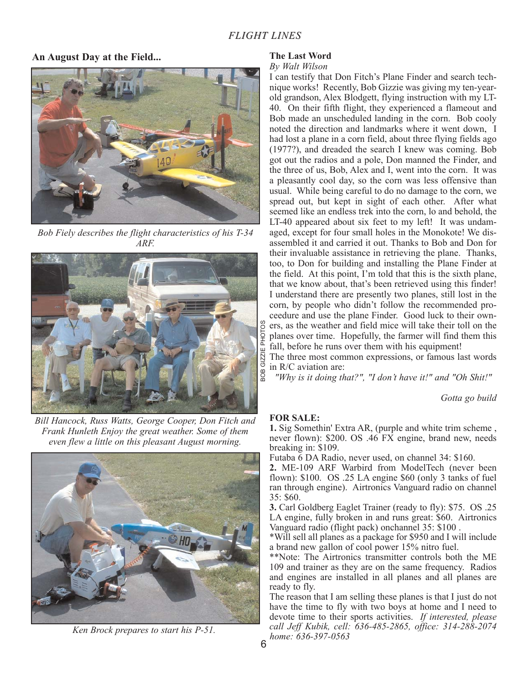# **An August Day at the Field...**



*Bob Fiely describes the flight characteristics of his T-34 ARF.*



*Bill Hancock, Russ Watts, George Cooper, Don Fitch and Frank Hunleth Enjoy the great weather. Some of them even flew a little on this pleasant August morning.*



*Ken Brock prepares to start his P-51.*

## **The Last Word**

#### *By Walt Wilson*

I can testify that Don Fitch's Plane Finder and search technique works! Recently, Bob Gizzie was giving my ten-yearold grandson, Alex Blodgett, flying instruction with my LT-40. On their fifth flight, they experienced a flameout and Bob made an unscheduled landing in the corn. Bob cooly noted the direction and landmarks where it went down, I had lost a plane in a corn field, about three flying fields ago (1977?), and dreaded the search I knew was coming. Bob got out the radios and a pole, Don manned the Finder, and the three of us, Bob, Alex and I, went into the corn. It was a pleasantly cool day, so the corn was less offensive than usual. While being careful to do no damage to the corn, we spread out, but kept in sight of each other. After what seemed like an endless trek into the corn, lo and behold, the LT-40 appeared about six feet to my left! It was undamaged, except for four small holes in the Monokote! We disassembled it and carried it out. Thanks to Bob and Don for their invaluable assistance in retrieving the plane. Thanks, too, to Don for building and installing the Plane Finder at the field. At this point, I'm told that this is the sixth plane, that we know about, that's been retrieved using this finder! I understand there are presently two planes, still lost in the corn, by people who didn't follow the recommended proceedure and use the plane Finder. Good luck to their owners, as the weather and field mice will take their toll on the planes over time. Hopefully, the farmer will find them this fall, before he runs over them with his equipment!

The three most common expressions, or famous last words in R/C aviation are:

*"Why is it doing that?", "I don't have it!" and "Oh Shit!"*

*Gotta go build*

## **FOR SALE:**

**1.** Sig Somethin' Extra AR, (purple and white trim scheme , never flown): \$200. OS .46 FX engine, brand new, needs breaking in: \$109.

Futaba 6 DA Radio, never used, on channel 34: \$160.

**2.** ME-109 ARF Warbird from ModelTech (never been flown): \$100. OS .25 LA engine \$60 (only 3 tanks of fuel ran through engine). Airtronics Vanguard radio on channel 35: \$60.

**3.** Carl Goldberg Eaglet Trainer (ready to fly): \$75. OS .25 LA engine, fully broken in and runs great: \$60. Airtronics Vanguard radio (flight pack) onchannel 35: \$100 .

\*Will sell all planes as a package for \$950 and I will include a brand new gallon of cool power 15% nitro fuel.

\*\*Note: The Airtronics transmitter controls both the ME 109 and trainer as they are on the same frequency. Radios and engines are installed in all planes and all planes are ready to fly.

The reason that I am selling these planes is that I just do not have the time to fly with two boys at home and I need to devote time to their sports activities. *If interested, please call Jeff Kubik, cell: 636-485-2865, office: 314-288-2074 home: 636-397-0563*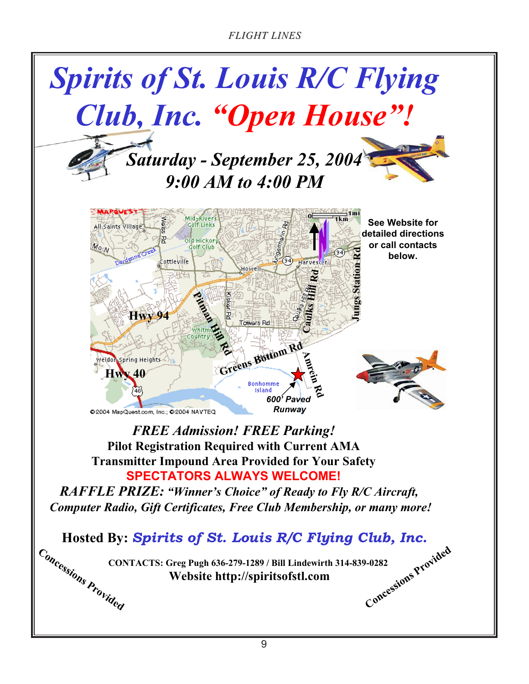*FLIGHT LINES*